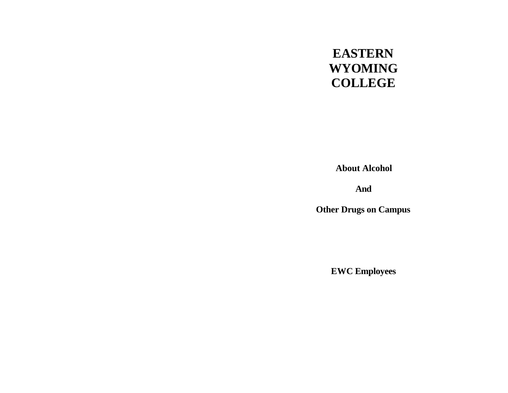# **EASTERN WYOMING COLLEGE**

**About Alcohol**

**And**

**Other Drugs on Campus**

**EWC Employees**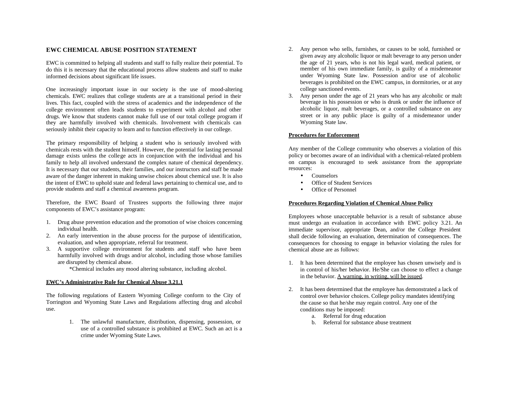# **EWC CHEMICAL ABUSE POSITION STATEMENT**

EWC is committed to helping all students and staff to fully realize their potential. To do this it is necessary that the educational process allow students and staff to make informed decisions about significant life issues.

One increasingly important issue in our society is the use of mood-altering chemicals. EWC realizes that college students are at a transitional period in their lives. This fact, coupled with the stress of academics and the independence of the college environment often leads students to experiment with alcohol and other drugs. We know that students cannot make full use of our total college program if they are harmfully involved with chemicals. Involvement with chemicals can seriously inhibit their capacity to learn and to function effectively in our college.

The primary responsibility of helping a student who is seriously involved with chemicals rests with the student himself. However, the potential for lasting personal damage exists unless the college acts in conjunction with the individual and his family to help all involved understand the complex nature of chemical dependency. It is necessary that our students, their families, and our instructors and staff be made aware of the danger inherent in making unwise choices about chemical use. It is also the intent of EWC to uphold state and federal laws pertaining to chemical use, and to provide students and staff a chemical awareness program.

Therefore, the EWC Board of Trustees supports the following three major components of EWC's assistance program:

- 1. Drug abuse prevention education and the promotion of wise choices concerning individual health.
- 2. An early intervention in the abuse process for the purpose of identification, evaluation, and when appropriate, referral for treatment.
- 3. A supportive college environment for students and staff who have been harmfully involved with drugs and/or alcohol, including those whose families are disrupted by chemical abuse.
	- \*Chemical includes any mood altering substance, including alcohol.

#### **EWC's Administrative Rule for Chemical Abuse 3.21.1**

The following regulations of Eastern Wyoming College conform to the City of Torrington and Wyoming State Laws and Regulations affecting drug and alcohol use.

> 1. The unlawful manufacture, distribution, dispensing, possession, or use of a controlled substance is prohibited at EWC. Such an act is a crime under Wyoming State Laws.

- 2. Any person who sells, furnishes, or causes to be sold, furnished or given away any alcoholic liquor or malt beverage to any person under the age of 21 years, who is not his legal ward, medical patient, or member of his own immediate family, is guilty of a misdemeanor under Wyoming State law. Possession and/or use of alcoholic beverages is prohibited on the EWC campus, in dormitories, or at any college sanctioned events.
- 3. Any person under the age of 21 years who has any alcoholic or malt beverage in his possession or who is drunk or under the influence of alcoholic liquor, malt beverages, or a controlled substance on any street or in any public place is guilty of a misdemeanor under Wyoming State law.

#### **Procedures for Enforcement**

Any member of the College community who observes a violation of this policy or becomes aware of an individual with a chemical-related problem on campus is encouraged to seek assistance from the appropriate resources:

- Counselors
- **Office of Student Services**
- Office of Personnel

## **Procedures Regarding Violation of Chemical Abuse Policy**

Employees whose unacceptable behavior is a result of substance abuse must undergo an evaluation in accordance with EWC policy 3.21. An immediate supervisor, appropriate Dean, and/or the College President shall decide following an evaluation, determination of consequences. The consequences for choosing to engage in behavior violating the rules for chemical abuse are as follows:

- 1. It has been determined that the employee has chosen unwisely and is in control of his/her behavior. He/She can choose to effect a change in the behavior. A warning, in writing, will be issued.
- 2. It has been determined that the employee has demonstrated a lack of control over behavior choices. College policy mandates identifying the cause so that he/she may regain control. Any one of the conditions may be imposed:
	- a. Referral for drug education
	- b. Referral for substance abuse treatment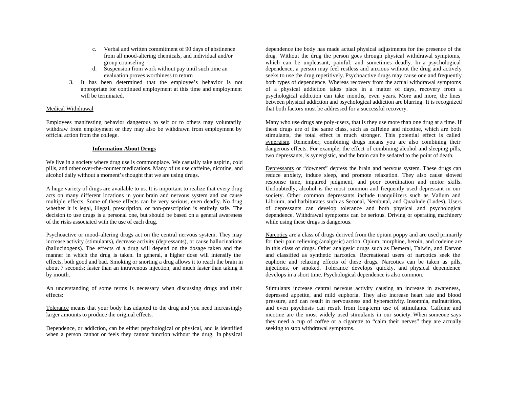- c. Verbal and written commitment of 90 days of abstinence from all mood-altering chemicals, and individual and/or group counseling
- d. Suspension from work without pay until such time an evaluation proves worthiness to return
- 3. It has been determined that the employee's behavior is not appropriate for continued employment at this time and employment will be terminated.

#### Medical Withdrawal

Employees manifesting behavior dangerous to self or to others may voluntarily withdraw from employment or they may also be withdrawn from employment by official action from the college.

### **Information About Drugs**

We live in a society where drug use is commonplace. We casually take aspirin, cold pills, and other over-the-counter medications. Many of us use caffeine, nicotine, and alcohol daily without a moment's thought that we are using drugs.

A huge variety of drugs are available to us. It is important to realize that every drug acts on many different locations in your brain and nervous system and can cause multiple effects. Some of these effects can be very serious, even deadly. No drug whether it is legal, illegal, prescription, or non-prescription is entirely safe. The decision to use drugs is a personal one, but should be based on a general awareness of the risks associated with the use of each drug.

Psychoactive or mood-altering drugs act on the central nervous system. They may increase activity (stimulants), decrease activity (depressants), or cause hallucinations (hallucinogens). The effects of a drug will depend on the dosage taken and the manner in which the drug is taken. In general, a higher dose will intensify the effects, both good and bad. Smoking or snorting a drug allows it to reach the brain in about 7 seconds; faster than an intravenous injection, and much faster than taking it by mouth.

An understanding of some terms is necessary when discussing drugs and their effects:

Tolerance means that your body has adapted to the drug and you need increasingly larger amounts to produce the original effects.

Dependence, or addiction, can be either psychological or physical, and is identified when a person cannot or feels they cannot function without the drug. In physical

dependence the body has made actual physical adjustments for the presence of the drug. Without the drug the person goes through physical withdrawal symptoms, which can be unpleasant, painful, and sometimes deadly. In a psychological dependence, a person may feel restless and anxious without the drug and actively seeks to use the drug repetitively. Psychoactive drugs may cause one and frequently both types of dependence. Whereas recovery from the actual withdrawal symptoms of a physical addiction takes place in a matter of days, recovery from a psychological addiction can take months, even years. More and more, the lines between physical addiction and psychological addiction are blurring. It is recognized that both factors must be addressed for a successful recovery.

Many who use drugs are poly-users, that is they use more than one drug at a time. If these drugs are of the same class, such as caffeine and nicotine, which are both stimulants, the total effect is much stronger. This potential effect is called synergism. Remember, combining drugs means you are also combining their dangerous effects. For example, the effect of combining alcohol and sleeping pills, two depressants, is synergistic, and the brain can be sedated to the point of death.

Depressants or "downers" depress the brain and nervous system. These drugs can reduce anxiety, induce sleep, and promote relaxation. They also cause slowed response time, impaired judgment, and poor coordination and motor skills. Undoubtedly, alcohol is the most common and frequently used depressant in our society. Other common depressants include tranquilizers such as Valium and Librium, and barbiturates such as Seconal, Nembutal, and Quaalude (Ludes). Users of depressants can develop tolerance and both physical and psychological dependence. Withdrawal symptoms can be serious. Driving or operating machinery while using these drugs is dangerous.

Narcotics are a class of drugs derived from the opium poppy and are used primarily for their pain relieving (analgesic) action. Opium, morphine, heroin, and codeine are in this class of drugs. Other analgesic drugs such as Demeral, Talwin, and Darvon and classified as synthetic narcotics. Recreational users of narcotics seek the euphoric and relaxing effects of these drugs. Narcotics can be taken as pills, injections, or smoked. Tolerance develops quickly, and physical dependence develops in a short time. Psychological dependence is also common.

Stimulants increase central nervous activity causing an increase in awareness, depressed appetite, and mild euphoria. They also increase heart rate and blood pressure, and can result in nervousness and hyperactivity. Insomnia, malnutrition, and even psychosis can result from long-term use of stimulants. Caffeine and nicotine are the most widely used stimulants in our society. When someone says they need a cup of coffee or a cigarette to "calm their nerves" they are actually seeking to stop withdrawal symptoms.